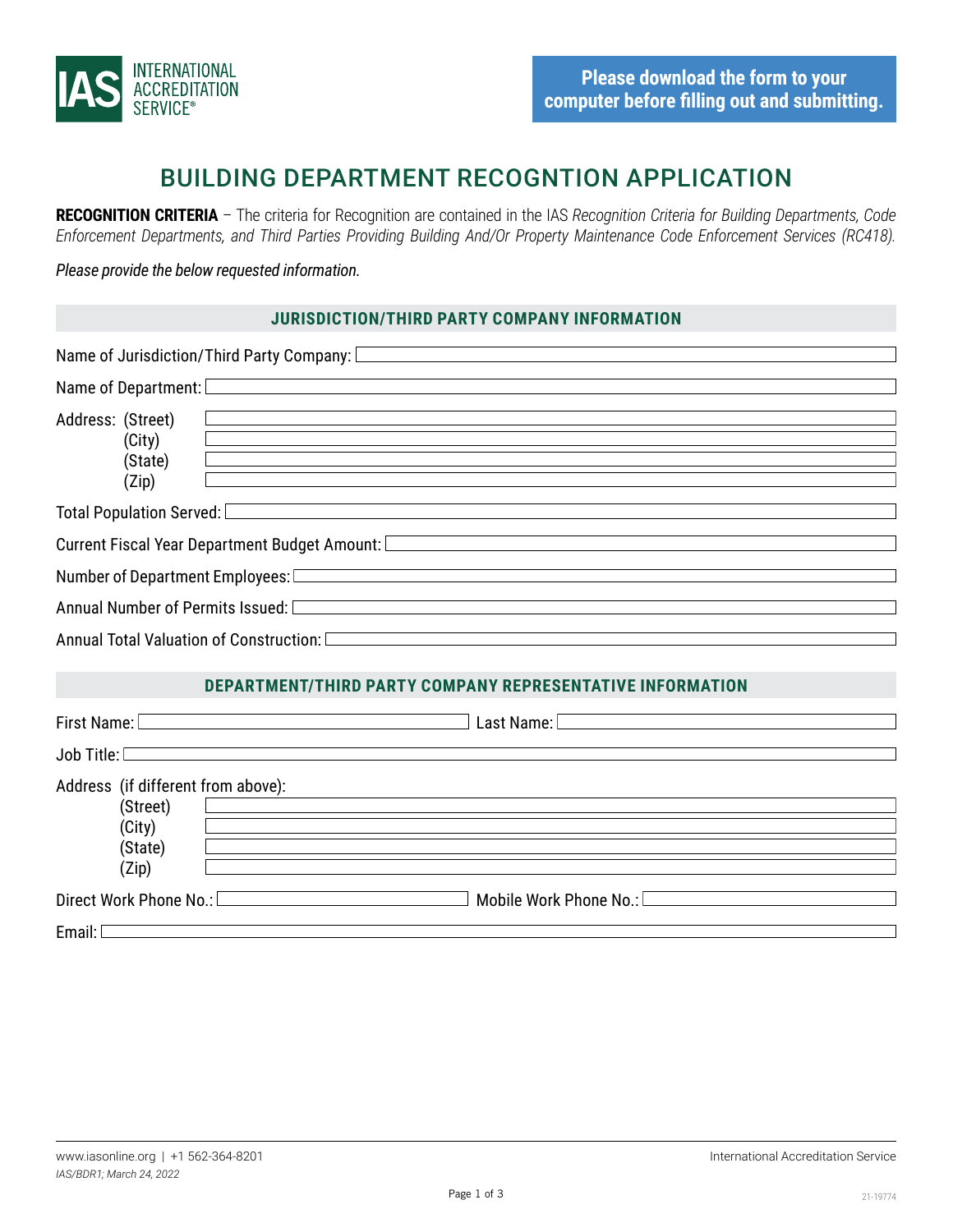

# BUILDING DEPARTMENT RECOGNTION APPLICATION

**RECOGNITION CRITERIA** – The criteria for Recognition are contained in the IAS *Recognition Criteria for Building Departments, Code Enforcement Departments, and Third Parties Providing Building And/Or Property Maintenance Code Enforcement Services (RC418).*

*Please provide the below requested information.*

#### **JURISDICTION/THIRD PARTY COMPANY INFORMATION**

|                                                                     | Name of Jurisdiction/Third Party Company: Letter Annual Communication of Surisdiction Annual Communication                                                                                                                                                                                         |  |  |
|---------------------------------------------------------------------|----------------------------------------------------------------------------------------------------------------------------------------------------------------------------------------------------------------------------------------------------------------------------------------------------|--|--|
|                                                                     | <u> 1989 - Johann Stoff, amerikansk politiker (d. 1989)</u><br>Name of Department: <u>Department</u> by the contract of the contract of the contract of the contract of the contract of the contract of the contract of the contract of the contract of the contract of the contract of the contra |  |  |
| Address: (Street)<br>(City)<br>(State)<br>(Zip)                     | <u> 1980 - Johann Stein, marwolaethau a bhann an t-Amhair an t-Amhair an t-Amhair an t-Amhair an t-Amhair an t-A</u>                                                                                                                                                                               |  |  |
|                                                                     | Total Population Served: <u>Communications and the serves of the serves</u> of the serves of the serves of the serves of                                                                                                                                                                           |  |  |
|                                                                     | Current Fiscal Year Department Budget Amount: [Carrier and Current Current Current Current Current Current Cur                                                                                                                                                                                     |  |  |
|                                                                     |                                                                                                                                                                                                                                                                                                    |  |  |
|                                                                     | Annual Number of Permits Issued: [Calculation and Calculus 2014]                                                                                                                                                                                                                                   |  |  |
|                                                                     | Annual Total Valuation of Construction: <b>Construction</b>                                                                                                                                                                                                                                        |  |  |
|                                                                     | <b>DEPARTMENT/THIRD PARTY COMPANY REPRESENTATIVE INFORMATION</b>                                                                                                                                                                                                                                   |  |  |
|                                                                     | First Name: <u>December 2008</u>                                                                                                                                                                                                                                                                   |  |  |
|                                                                     | <b>Job Title:</b> <u>Community of the Community of the Community of the Community of the Community of the Community of the Community of the Community of the Community of the Community of the Community of the Community of the Comm</u>                                                          |  |  |
| Address (if different from above):<br>(Street)<br>(City)<br>(State) | <u> 1989 - Andrea State Barbara, amerikan personal di sebagai personal di sebagai personal di sebagai personal d</u>                                                                                                                                                                               |  |  |

(Zip) Direct Work Phone No.: Mobile Work Phone No.:

Email:  $\Box$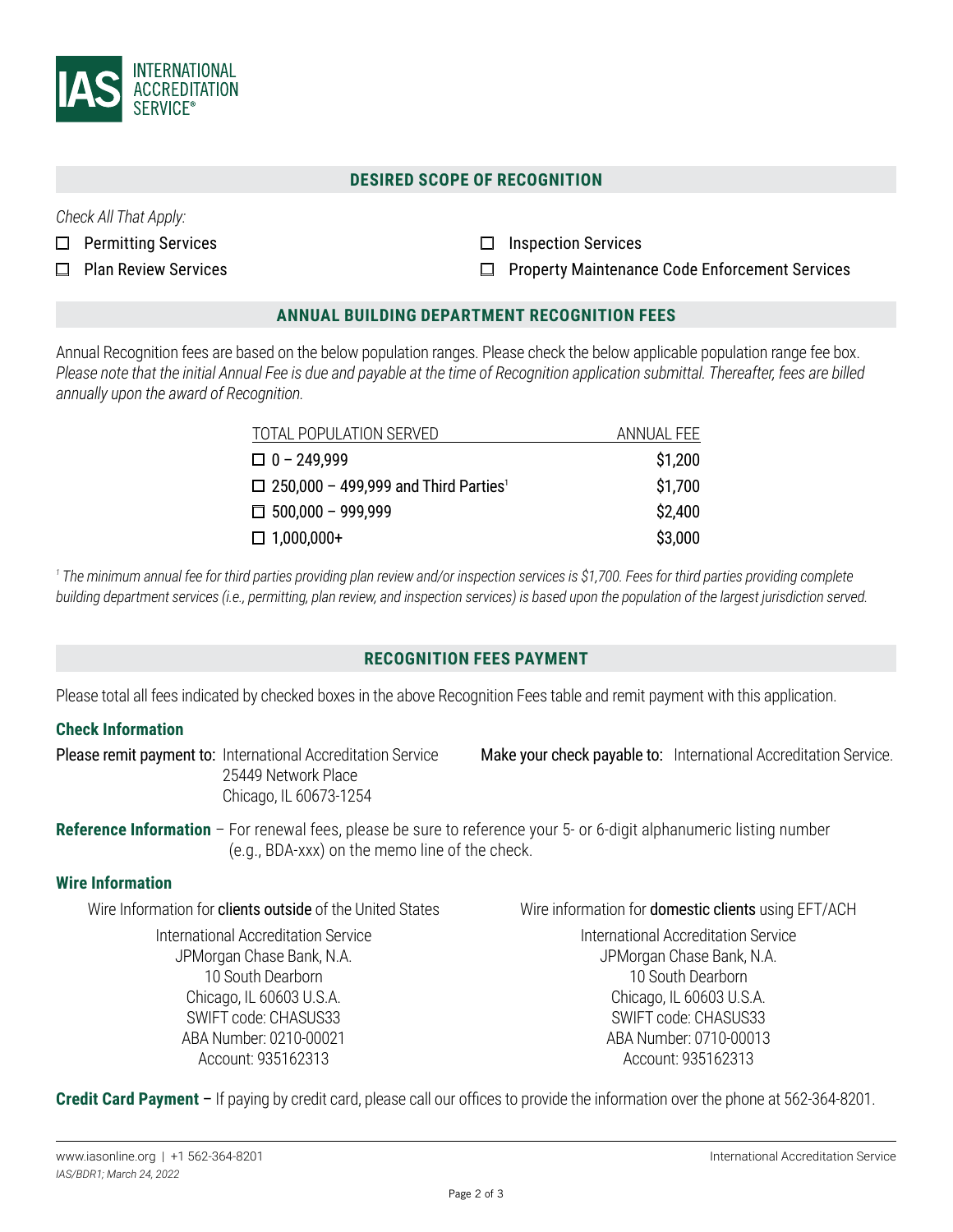

## **DESIRED SCOPE OF RECOGNITION**

*Check All That Apply:*

- $\Box$  Permitting Services
- □ Plan Review Services
- $\Box$  Inspection Services
- Property Maintenance Code Enforcement Services  $\Box$

## **ANNUAL BUILDING DEPARTMENT RECOGNITION FEES**

Annual Recognition fees are based on the below population ranges. Please check the below applicable population range fee box. *Please note that the initial Annual Fee is due and payable at the time of Recognition application submittal. Thereafter, fees are billed annually upon the award of Recognition.*

| TOTAL POPULATION SERVED                                 | ANNUAL FEE |
|---------------------------------------------------------|------------|
| $\Box$ 0 - 249,999                                      | \$1,200    |
| $\Box$ 250,000 - 499,999 and Third Parties <sup>1</sup> | \$1,700    |
| $\Box$ 500,000 - 999,999                                | \$2,400    |
| $\Box$ 1,000,000+                                       | \$3,000    |

<sup>1</sup> The minimum annual fee for third parties providing plan review and/or inspection services is \$1,700. Fees for third parties providing complete *building department services (i.e., permitting, plan review, and inspection services) is based upon the population of the largest jurisdiction served.*

## **RECOGNITION FEES PAYMENT**

Please total all fees indicated by checked boxes in the above Recognition Fees table and remit payment with this application.

## **Check Information**

Please remit payment to: International Accreditation Service 25449 Network Place Chicago, IL 60673-1254

Make your check payable to: International Accreditation Service.

## **Reference Information** – For renewal fees, please be sure to reference your 5- or 6-digit alphanumeric listing number (e.g., BDA-xxx) on the memo line of the check.

#### **Wire Information**

Wire Information for **clients outside** of the United States

International Accreditation Service JPMorgan Chase Bank, N.A. 10 South Dearborn Chicago, IL 60603 U.S.A. SWIFT code: CHASUS33 ABA Number: 0210-00021 Account: 935162313

Wire information for domestic clients using EFT/ACH

International Accreditation Service JPMorgan Chase Bank, N.A. 10 South Dearborn Chicago, IL 60603 U.S.A. SWIFT code: CHASUS33 ABA Number: 0710-00013 Account: 935162313

**Credit Card Payment** – If paying by credit card, please call our offices to provide the information over the phone at 562-364-8201.